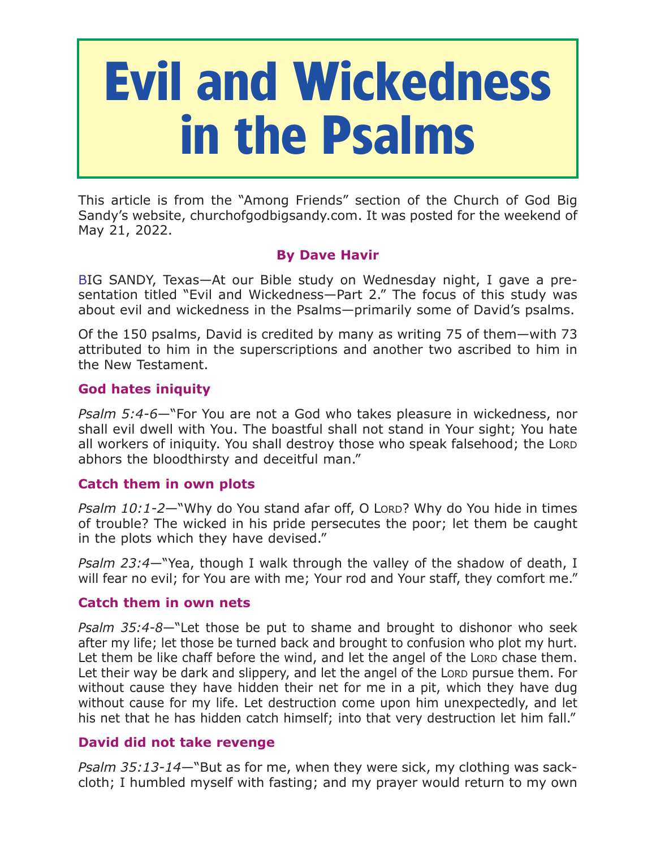# **Evil and Wickedness in the Psalms**

This article is from the "Among Friends" section of the Church of God Big Sandy's website, churchofgodbigsandy.com. It was posted for the weekend of May 21, 2022.

## **By Dave Havir**

BIG SANDY, Texas—At our Bible study on Wednesday night, I gave a presentation titled "Evil and Wickedness—Part 2." The focus of this study was about evil and wickedness in the Psalms—primarily some of David's psalms.

Of the 150 psalms, David is credited by many as writing 75 of them—with 73 attributed to him in the superscriptions and another two ascribed to him in the New Testament.

## **God hates iniquity**

*Psalm 5:4-6*—"For You are not a God who takes pleasure in wickedness, nor shall evil dwell with You. The boastful shall not stand in Your sight; You hate all workers of iniquity. You shall destroy those who speak falsehood; the LORD abhors the bloodthirsty and deceitful man."

### **Catch them in own plots**

*Psalm 10:1-2*—"Why do You stand afar off, O LORD? Why do You hide in times of trouble? The wicked in his pride persecutes the poor; let them be caught in the plots which they have devised."

*Psalm 23:4*—"Yea, though I walk through the valley of the shadow of death, I will fear no evil; for You are with me; Your rod and Your staff, they comfort me."

### **Catch them in own nets**

*Psalm 35:4-8*—"Let those be put to shame and brought to dishonor who seek after my life; let those be turned back and brought to confusion who plot my hurt. Let them be like chaff before the wind, and let the angel of the LORD chase them. Let their way be dark and slippery, and let the angel of the LORD pursue them. For without cause they have hidden their net for me in a pit, which they have dug without cause for my life. Let destruction come upon him unexpectedly, and let his net that he has hidden catch himself; into that very destruction let him fall."

### **David did not take revenge**

*Psalm 35:13-14*—"But as for me, when they were sick, my clothing was sackcloth; I humbled myself with fasting; and my prayer would return to my own